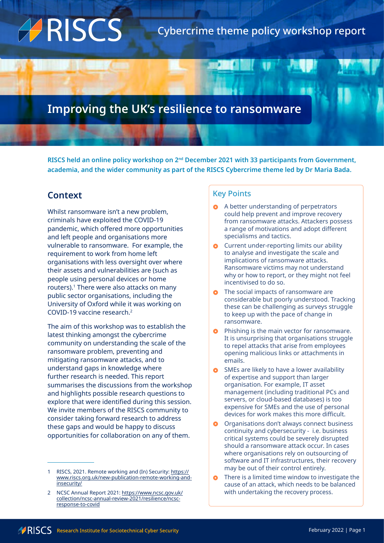# ARISCS

# **Improving the UK's resilience to ransomware**

**RISCS held an online policy workshop on 2nd December 2021 with 33 participants from Government, academia, and the wider community as part of the RISCS Cybercrime theme led by Dr Maria Bada.**

# **Context**

Whilst ransomware isn't a new problem, criminals have exploited the COVID-19 pandemic, which offered more opportunities and left people and organisations more vulnerable to ransomware. For example, the requirement to work from home left organisations with less oversight over where their assets and vulnerabilities are (such as people using personal devices or home routers).<sup>1</sup> There were also attacks on many public sector organisations, including the University of Oxford while it was working on COVID-19 vaccine research.2

The aim of this workshop was to establish the latest thinking amongst the cybercrime community on understanding the scale of the ransomware problem, preventing and mitigating ransomware attacks, and to understand gaps in knowledge where further research is needed. This report summarises the discussions from the workshop and highlights possible research questions to explore that were identified during this session. We invite members of the RISCS community to consider taking forward research to address these gaps and would be happy to discuss opportunities for collaboration on any of them.

## Key Points

- **A** A better understanding of perpetrators could help prevent and improve recovery from ransomware attacks. Attackers possess a range of motivations and adopt different specialisms and tactics.
- **O** Current under-reporting limits our ability to analyse and investigate the scale and implications of ransomware attacks. Ransomware victims may not understand why or how to report, or they might not feel incentivised to do so.
- **o** The social impacts of ransomware are considerable but poorly understood. Tracking these can be challenging as surveys struggle to keep up with the pace of change in ransomware.
- Phishing is the main vector for ransomware. It is unsurprising that organisations struggle to repel attacks that arise from employees opening malicious links or attachments in emails.
- **•** SMEs are likely to have a lower availability of expertise and support than larger organisation. For example, IT asset management (including traditional PCs and servers, or cloud-based databases) is too expensive for SMEs and the use of personal devices for work makes this more difficult.
- **O** Organisations don't always connect business continuity and cybersecurity - i.e. business critical systems could be severely disrupted should a ransomware attack occur. In cases where organisations rely on outsourcing of software and IT infrastructures, their recovery may be out of their control entirely.
- There is a limited time window to investigate the cause of an attack, which needs to be balanced with undertaking the recovery process.

<sup>1</sup> RISCS, 2021. Remote working and (In) Security: [https://](https://www.riscs.org.uk/new-publication-remote-working-and-insecurity/) [www.riscs.org.uk/new-publication-remote-working-and](https://www.riscs.org.uk/new-publication-remote-working-and-insecurity/)[insecurity/](https://www.riscs.org.uk/new-publication-remote-working-and-insecurity/)

<sup>2</sup> NCSC Annual Report 2021: [https://www.ncsc.gov.uk/](https://www.ncsc.gov.uk/collection/ncsc-annual-review-2021/resilience/ncsc-response-to-covid) [collection/ncsc-annual-review-2021/resilience/ncsc](https://www.ncsc.gov.uk/collection/ncsc-annual-review-2021/resilience/ncsc-response-to-covid)[response-to-covid](https://www.ncsc.gov.uk/collection/ncsc-annual-review-2021/resilience/ncsc-response-to-covid)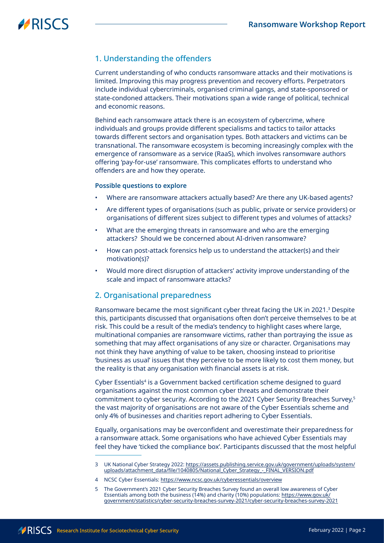## 1. Understanding the offenders

Current understanding of who conducts ransomware attacks and their motivations is limited. Improving this may progress prevention and recovery efforts. Perpetrators include individual cybercriminals, organised criminal gangs, and state-sponsored or state-condoned attackers. Their motivations span a wide range of political, technical and economic reasons.

Behind each ransomware attack there is an ecosystem of cybercrime, where individuals and groups provide different specialisms and tactics to tailor attacks towards different sectors and organisation types. Both attackers and victims can be transnational. The ransomware ecosystem is becoming increasingly complex with the emergence of ransomware as a service (RaaS), which involves ransomware authors offering 'pay-for-use' ransomware. This complicates efforts to understand who offenders are and how they operate.

#### **Possible questions to explore**

- Where are ransomware attackers actually based? Are there any UK-based agents?
- Are different types of organisations (such as public, private or service providers) or organisations of different sizes subject to different types and volumes of attacks?
- What are the emerging threats in ransomware and who are the emerging attackers? Should we be concerned about AI-driven ransomware?
- How can post-attack forensics help us to understand the attacker(s) and their motivation(s)?
- Would more direct disruption of attackers' activity improve understanding of the scale and impact of ransomware attacks?

#### 2. Organisational preparedness

Ransomware became the most significant cyber threat facing the UK in 2021.3 Despite this, participants discussed that organisations often don't perceive themselves to be at risk. This could be a result of the media's tendency to highlight cases where large, multinational companies are ransomware victims, rather than portraying the issue as something that may affect organisations of any size or character. Organisations may not think they have anything of value to be taken, choosing instead to prioritise 'business as usual' issues that they perceive to be more likely to cost them money, but the reality is that any organisation with financial assets is at risk.

Cyber Essentials<sup>4</sup> is a Government backed certification scheme designed to guard organisations against the most common cyber threats and demonstrate their commitment to cyber security. According to the 2021 Cyber Security Breaches Survey,<sup>5</sup> the vast majority of organisations are not aware of the Cyber Essentials scheme and only 4% of businesses and charities report adhering to Cyber Essentials.

Equally, organisations may be overconfident and overestimate their preparedness for a ransomware attack. Some organisations who have achieved Cyber Essentials may feel they have 'ticked the compliance box'. Participants discussed that the most helpful

<sup>3</sup> UK National Cyber Strategy 2022: [https://assets.publishing.service.gov.uk/government/uploads/system/](https://assets.publishing.service.gov.uk/government/uploads/system/uploads/attachment_data/file/1040805/National_Cyber_Strategy_-_FINAL_VERSION.pdf) [uploads/attachment\\_data/file/1040805/National\\_Cyber\\_Strategy\\_-\\_FINAL\\_VERSION.pdf](https://assets.publishing.service.gov.uk/government/uploads/system/uploads/attachment_data/file/1040805/National_Cyber_Strategy_-_FINAL_VERSION.pdf)

<sup>4</sup> NCSC Cyber Essentials:<https://www.ncsc.gov.uk/cyberessentials/overview>

<sup>5</sup> The Government's 2021 Cyber Security Breaches Survey found an overall low awareness of Cyber Essentials among both the business (14%) and charity (10%) populations: [https://www.gov.uk/](https://www.gov.uk/government/statistics/cyber-security-breaches-survey-2021/cyber-security-breaches-survey-2021) [government/statistics/cyber-security-breaches-survey-2021/cyber-security-breaches-survey-2021](https://www.gov.uk/government/statistics/cyber-security-breaches-survey-2021/cyber-security-breaches-survey-2021)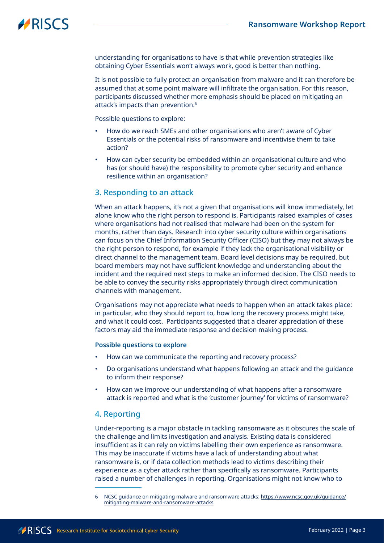understanding for organisations to have is that while prevention strategies like obtaining Cyber Essentials won't always work, good is better than nothing.

It is not possible to fully protect an organisation from malware and it can therefore be assumed that at some point malware will infiltrate the organisation. For this reason, participants discussed whether more emphasis should be placed on mitigating an attack's impacts than prevention.6

Possible questions to explore:

- How do we reach SMEs and other organisations who aren't aware of Cyber Essentials or the potential risks of ransomware and incentivise them to take action?
- How can cyber security be embedded within an organisational culture and who has (or should have) the responsibility to promote cyber security and enhance resilience within an organisation?

#### 3. Responding to an attack

When an attack happens, it's not a given that organisations will know immediately, let alone know who the right person to respond is. Participants raised examples of cases where organisations had not realised that malware had been on the system for months, rather than days. Research into cyber security culture within organisations can focus on the Chief Information Security Officer (CISO) but they may not always be the right person to respond, for example if they lack the organisational visibility or direct channel to the management team. Board level decisions may be required, but board members may not have sufficient knowledge and understanding about the incident and the required next steps to make an informed decision. The CISO needs to be able to convey the security risks appropriately through direct communication channels with management.

Organisations may not appreciate what needs to happen when an attack takes place: in particular, who they should report to, how long the recovery process might take, and what it could cost. Participants suggested that a clearer appreciation of these factors may aid the immediate response and decision making process.

#### **Possible questions to explore**

- How can we communicate the reporting and recovery process?
- Do organisations understand what happens following an attack and the guidance to inform their response?
- How can we improve our understanding of what happens after a ransomware attack is reported and what is the 'customer journey' for victims of ransomware?

#### 4. Reporting

Under-reporting is a major obstacle in tackling ransomware as it obscures the scale of the challenge and limits investigation and analysis. Existing data is considered insufficient as it can rely on victims labelling their own experience as ransomware. This may be inaccurate if victims have a lack of understanding about what ransomware is, or if data collection methods lead to victims describing their experience as a cyber attack rather than specifically as ransomware. Participants raised a number of challenges in reporting. Organisations might not know who to

<sup>6</sup> NCSC guidance on mitigating malware and ransomware attacks: [https://www.ncsc.gov.uk/guidance/](https://www.ncsc.gov.uk/guidance/mitigating-malware-and-ransomware-attacks) [mitigating-malware-and-ransomware-attacks](https://www.ncsc.gov.uk/guidance/mitigating-malware-and-ransomware-attacks)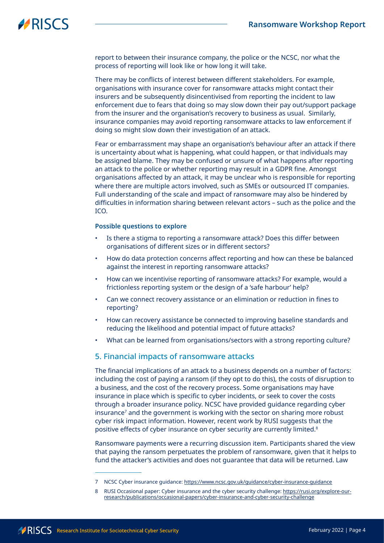report to between their insurance company, the police or the NCSC, nor what the process of reporting will look like or how long it will take.

There may be conflicts of interest between different stakeholders. For example, organisations with insurance cover for ransomware attacks might contact their insurers and be subsequently disincentivised from reporting the incident to law enforcement due to fears that doing so may slow down their pay out/support package from the insurer and the organisation's recovery to business as usual. Similarly, insurance companies may avoid reporting ransomware attacks to law enforcement if doing so might slow down their investigation of an attack.

Fear or embarrassment may shape an organisation's behaviour after an attack if there is uncertainty about what is happening, what could happen, or that individuals may be assigned blame. They may be confused or unsure of what happens after reporting an attack to the police or whether reporting may result in a GDPR fine. Amongst organisations affected by an attack, it may be unclear who is responsible for reporting where there are multiple actors involved, such as SMEs or outsourced IT companies. Full understanding of the scale and impact of ransomware may also be hindered by difficulties in information sharing between relevant actors – such as the police and the ICO.

#### **Possible questions to explore**

- Is there a stigma to reporting a ransomware attack? Does this differ between organisations of different sizes or in different sectors?
- How do data protection concerns affect reporting and how can these be balanced against the interest in reporting ransomware attacks?
- How can we incentivise reporting of ransomware attacks? For example, would a frictionless reporting system or the design of a 'safe harbour' help?
- Can we connect recovery assistance or an elimination or reduction in fines to reporting?
- How can recovery assistance be connected to improving baseline standards and reducing the likelihood and potential impact of future attacks?
- What can be learned from organisations/sectors with a strong reporting culture?

#### 5. Financial impacts of ransomware attacks

The financial implications of an attack to a business depends on a number of factors: including the cost of paying a ransom (if they opt to do this), the costs of disruption to a business, and the cost of the recovery process. Some organisations may have insurance in place which is specific to cyber incidents, or seek to cover the costs through a broader insurance policy. NCSC have provided guidance regarding cyber insurance7 and the government is working with the sector on sharing more robust cyber risk impact information. However, recent work by RUSI suggests that the positive effects of cyber insurance on cyber security are currently limited.<sup>8</sup>

Ransomware payments were a recurring discussion item. Participants shared the view that paying the ransom perpetuates the problem of ransomware, given that it helps to fund the attacker's activities and does not guarantee that data will be returned. Law

<sup>7</sup> NCSC Cyber insurance guidance: <https://www.ncsc.gov.uk/guidance/cyber-insurance-guidance>

<sup>8</sup> RUSI Occasional paper: Cyber insurance and the cyber security challenge: [https://rusi.org/explore-our](https://rusi.org/explore-our-research/publications/occasional-papers/cyber-insurance-and-cyber-security-challenge)[research/publications/occasional-papers/cyber-insurance-and-cyber-security-challenge](https://rusi.org/explore-our-research/publications/occasional-papers/cyber-insurance-and-cyber-security-challenge)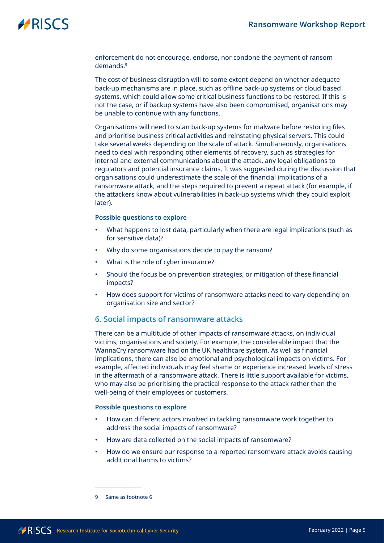enforcement do not encourage, endorse, nor condone the payment of ransom demands<sup>9</sup>

The cost of business disruption will to some extent depend on whether adequate back-up mechanisms are in place, such as offline back-up systems or cloud based systems, which could allow some critical business functions to be restored. If this is not the case, or if backup systems have also been compromised, organisations may be unable to continue with any functions.

Organisations will need to scan back-up systems for malware before restoring files and prioritise business critical activities and reinstating physical servers. This could take several weeks depending on the scale of attack. Simultaneously, organisations need to deal with responding other elements of recovery, such as strategies for internal and external communications about the attack, any legal obligations to regulators and potential insurance claims. It was suggested during the discussion that organisations could underestimate the scale of the financial implications of a ransomware attack, and the steps required to prevent a repeat attack (for example, if the attackers know about vulnerabilities in back-up systems which they could exploit later).

#### **Possible questions to explore**

- What happens to lost data, particularly when there are legal implications (such as for sensitive data)?
- Why do some organisations decide to pay the ransom?
- What is the role of cyber insurance?
- Should the focus be on prevention strategies, or mitigation of these financial impacts?
- How does support for victims of ransomware attacks need to vary depending on organisation size and sector?

### 6. Social impacts of ransomware attacks

There can be a multitude of other impacts of ransomware attacks, on individual victims, organisations and society. For example, the considerable impact that the WannaCry ransomware had on the UK healthcare system. As well as financial implications, there can also be emotional and psychological impacts on victims. For example, affected individuals may feel shame or experience increased levels of stress in the aftermath of a ransomware attack. There is little support available for victims, who may also be prioritising the practical response to the attack rather than the well-being of their employees or customers.

#### **Possible questions to explore**

- How can different actors involved in tackling ransomware work together to address the social impacts of ransomware?
- How are data collected on the social impacts of ransomware?
- How do we ensure our response to a reported ransomware attack avoids causing additional harms to victims?

<sup>9</sup> Same as footnote 6